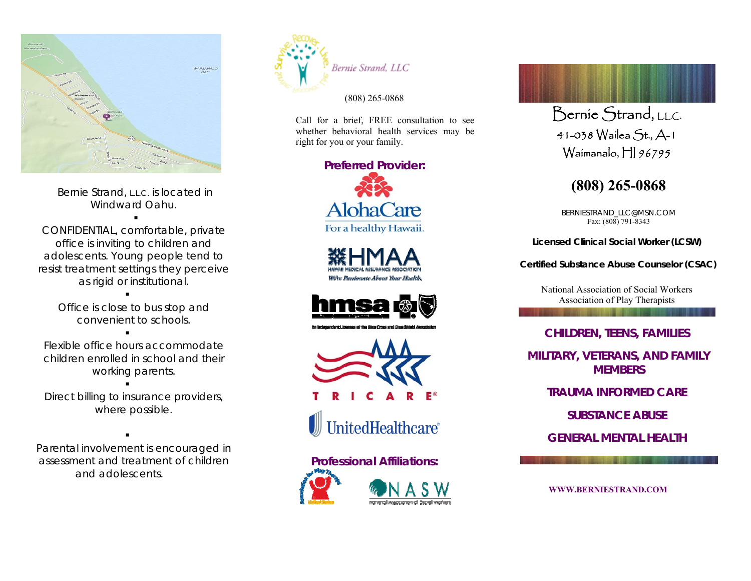

 Bernie Strand, L.L.C. is located in Windward Oahu.

CONFIDENTIAL, comfortable, private office is inviting to children and adolescents. Young people tend to resist treatment settings they perceive as rigid or institutional.

> Office is close to bus stop and convenient to schools.

Flexible office hours accommodate children enrolled in school and their working parents.

Direct billing to insurance providers, where possible.

Parental involvement is encouraged in assessment and treatment of children and adolescents.



(808) 265-0868

 Call for a brief, FREE consultation to see whether behavioral health services may be right for you or your family.

#### **Preferred Provider:**













# Bernie Strand, LLC.

41-038 Wailea St., A-1 Waimanalo, HI 96795

## **(808) 265-0868**

BERNIESTRAND\_LLC@MSN.COM Fax: (808) 791-8343

**Licensed Clinical Social Worker (LCSW)** 

**Certified Substance Abuse Counselor (CSAC)** 

National Association of Social Workers Association of Play Therapists

**AND A STA** 

### **CHILDREN, TEENS, FAMILIES**

**MILITARY, VETERANS, AND FAMILY MEMBERS** 

**TRAUMA INFORMED CARE** 

**SUBSTANCE ABUSE**

**GENERAL MENTAL HEALTH** 

**WWW.BERNIESTRAND.COM**